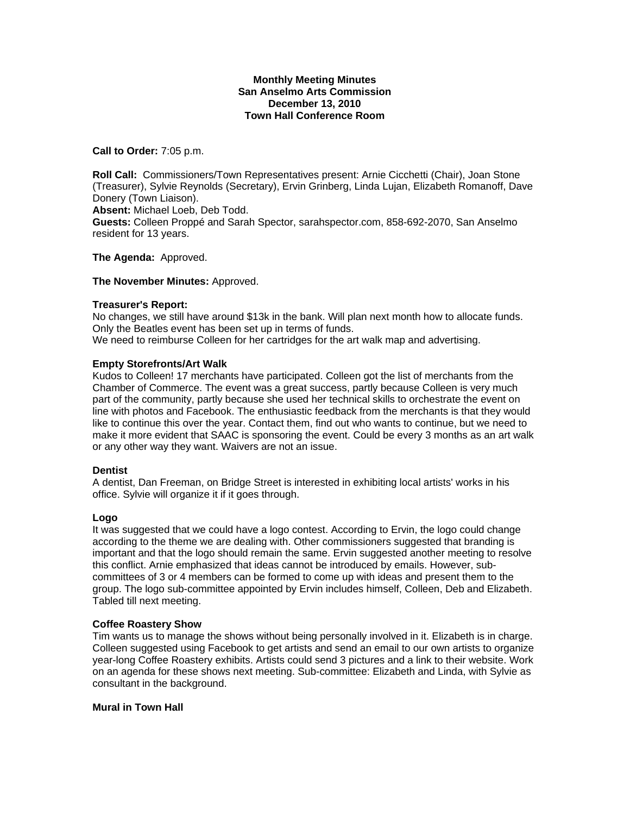#### **Monthly Meeting Minutes San Anselmo Arts Commission December 13, 2010 Town Hall Conference Room**

**Call to Order:** 7:05 p.m.

**Roll Call:** Commissioners/Town Representatives present: Arnie Cicchetti (Chair), Joan Stone (Treasurer), Sylvie Reynolds (Secretary), Ervin Grinberg, Linda Lujan, Elizabeth Romanoff, Dave Donery (Town Liaison). **Absent:** Michael Loeb, Deb Todd. **Guests:** Colleen Proppé and Sarah Spector, sarahspector.com, 858-692-2070, San Anselmo resident for 13 years.

**The Agenda:** Approved.

#### **The November Minutes:** Approved.

#### **Treasurer's Report:**

No changes, we still have around \$13k in the bank. Will plan next month how to allocate funds. Only the Beatles event has been set up in terms of funds. We need to reimburse Colleen for her cartridges for the art walk map and advertising.

### **Empty Storefronts/Art Walk**

Kudos to Colleen! 17 merchants have participated. Colleen got the list of merchants from the Chamber of Commerce. The event was a great success, partly because Colleen is very much part of the community, partly because she used her technical skills to orchestrate the event on line with photos and Facebook. The enthusiastic feedback from the merchants is that they would like to continue this over the year. Contact them, find out who wants to continue, but we need to make it more evident that SAAC is sponsoring the event. Could be every 3 months as an art walk or any other way they want. Waivers are not an issue.

#### **Dentist**

A dentist, Dan Freeman, on Bridge Street is interested in exhibiting local artists' works in his office. Sylvie will organize it if it goes through.

#### **Logo**

It was suggested that we could have a logo contest. According to Ervin, the logo could change according to the theme we are dealing with. Other commissioners suggested that branding is important and that the logo should remain the same. Ervin suggested another meeting to resolve this conflict. Arnie emphasized that ideas cannot be introduced by emails. However, subcommittees of 3 or 4 members can be formed to come up with ideas and present them to the group. The logo sub-committee appointed by Ervin includes himself, Colleen, Deb and Elizabeth. Tabled till next meeting.

#### **Coffee Roastery Show**

Tim wants us to manage the shows without being personally involved in it. Elizabeth is in charge. Colleen suggested using Facebook to get artists and send an email to our own artists to organize year-long Coffee Roastery exhibits. Artists could send 3 pictures and a link to their website. Work on an agenda for these shows next meeting. Sub-committee: Elizabeth and Linda, with Sylvie as consultant in the background.

# **Mural in Town Hall**